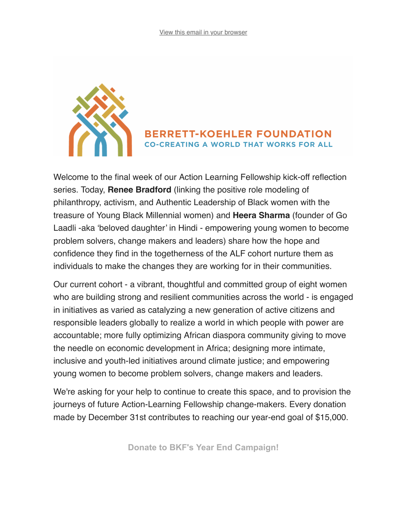

## **BERRETT-KOEHLER FOUNDATION CO-CREATING A WORLD THAT WORKS FOR ALL**

Welcome to the final week of our Action Learning Fellowship kick-off reflection series. Today, **Renee Bradford** (linking the positive role modeling of philanthropy, activism, and Authentic Leadership of Black women with the treasure of Young Black Millennial women) and **Heera Sharma** (founder of Go Laadli -aka 'beloved daughter' in Hindi - empowering young women to become problem solvers, change makers and leaders) share how the hope and confidence they find in the togetherness of the ALF cohort nurture them as individuals to make the changes they are working for in their communities.

Our current cohort - a vibrant, thoughtful and committed group of eight women who are building strong and resilient communities across the world - is engaged in initiatives as varied as catalyzing a new generation of active citizens and responsible leaders globally to realize a world in which people with power are accountable; more fully optimizing African diaspora community giving to move the needle on economic development in Africa; designing more intimate, inclusive and youth-led initiatives around climate justice; and empowering young women to become problem solvers, change makers and leaders.

We're asking for your help to continue to create this space, and to provision the journeys of future Action-Learning Fellowship change-makers. Every donation made by December 31st contributes to reaching our year-end goal of \$15,000.

**[Donate to BKF's Year End Campaign!](https://www.flipcause.com/secure/cause_pdetails/NzA4MjA=)**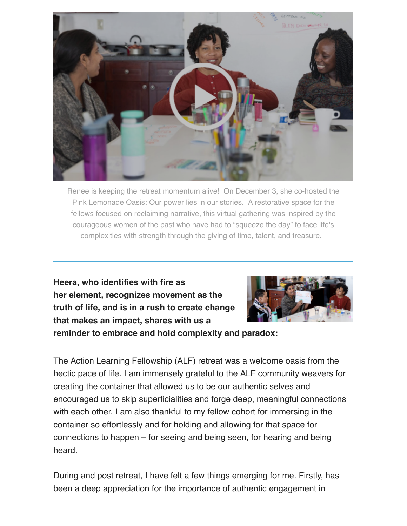

Renee is keeping the retreat momentum alive! On December 3, she co-hosted the Pink Lemonade Oasis: Our power lies in our stories. A restorative space for the fellows focused on reclaiming narrative, this virtual gathering was inspired by the courageous women of the past who have had to "squeeze the day" fo face life's complexities with strength through the giving of time, talent, and treasure.

**Heera, who identifies with fire as her element, recognizes movement as the truth of life, and is in a rush to create change that makes an impact, shares with us a**



**reminder to embrace and hold complexity and paradox:**

The Action Learning Fellowship (ALF) retreat was a welcome oasis from the hectic pace of life. I am immensely grateful to the ALF community weavers for creating the container that allowed us to be our authentic selves and encouraged us to skip superficialities and forge deep, meaningful connections with each other. I am also thankful to my fellow cohort for immersing in the container so effortlessly and for holding and allowing for that space for connections to happen – for seeing and being seen, for hearing and being heard.

During and post retreat, I have felt a few things emerging for me. Firstly, has been a deep appreciation for the importance of authentic engagement in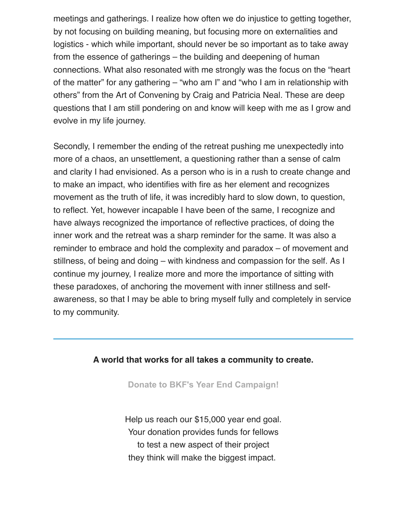meetings and gatherings. I realize how often we do injustice to getting together, by not focusing on building meaning, but focusing more on externalities and logistics - which while important, should never be so important as to take away from the essence of gatherings – the building and deepening of human connections. What also resonated with me strongly was the focus on the "heart of the matter" for any gathering – "who am I" and "who I am in relationship with others" from the Art of Convening by Craig and Patricia Neal. These are deep questions that I am still pondering on and know will keep with me as I grow and evolve in my life journey.

Secondly, I remember the ending of the retreat pushing me unexpectedly into more of a chaos, an unsettlement, a questioning rather than a sense of calm and clarity I had envisioned. As a person who is in a rush to create change and to make an impact, who identifies with fire as her element and recognizes movement as the truth of life, it was incredibly hard to slow down, to question, to reflect. Yet, however incapable I have been of the same, I recognize and have always recognized the importance of reflective practices, of doing the inner work and the retreat was a sharp reminder for the same. It was also a reminder to embrace and hold the complexity and paradox – of movement and stillness, of being and doing – with kindness and compassion for the self. As I continue my journey, I realize more and more the importance of sitting with these paradoxes, of anchoring the movement with inner stillness and selfawareness, so that I may be able to bring myself fully and completely in service to my community.

## **A world that works for all takes a community to create.**

**[Donate to BKF's Year End Campaign!](https://www.flipcause.com/secure/cause_pdetails/NzA4MjA=)**

Help us reach our \$15,000 year end goal. Your donation provides funds for fellows to test a new aspect of their project they think will make the biggest impact.